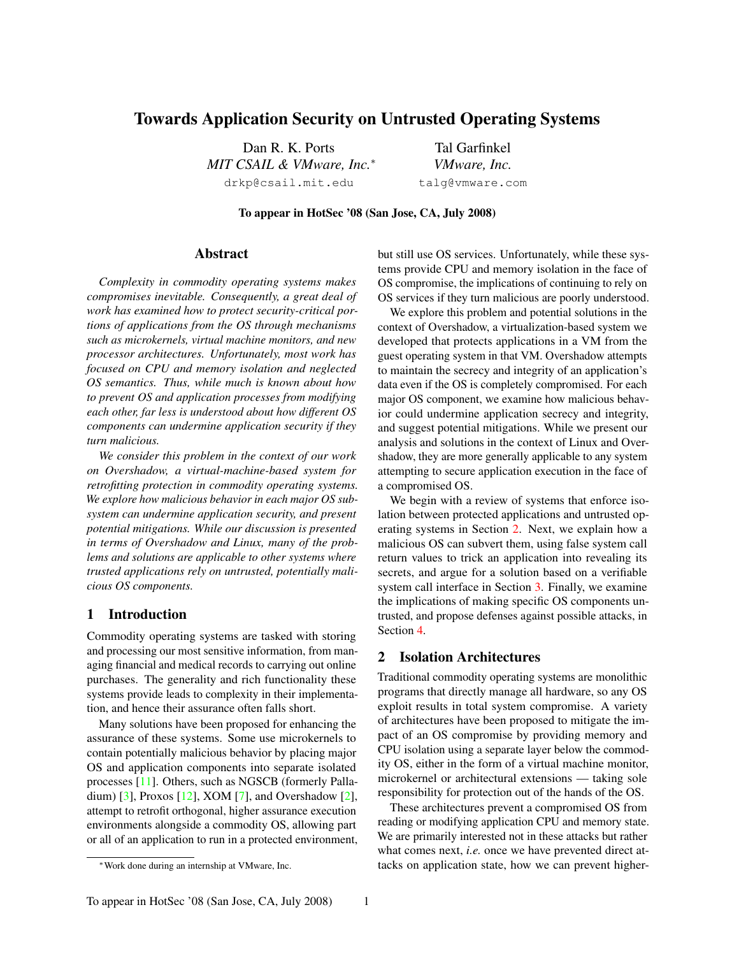# Towards Application Security on Untrusted Operating Systems

Dan R. K. Ports *MIT CSAIL & VMware, Inc.*<sup>∗</sup> drkp@csail.mit.edu

Tal Garfinkel *VMware, Inc.* talg@vmware.com

To appear in HotSec '08 (San Jose, CA, July 2008)

### Abstract

*Complexity in commodity operating systems makes compromises inevitable. Consequently, a great deal of work has examined how to protect security-critical portions of applications from the OS through mechanisms such as microkernels, virtual machine monitors, and new processor architectures. Unfortunately, most work has focused on CPU and memory isolation and neglected OS semantics. Thus, while much is known about how to prevent OS and application processes from modifying each other, far less is understood about how different OS components can undermine application security if they turn malicious.*

*We consider this problem in the context of our work on Overshadow, a virtual-machine-based system for retrofitting protection in commodity operating systems. We explore how malicious behavior in each major OS subsystem can undermine application security, and present potential mitigations. While our discussion is presented in terms of Overshadow and Linux, many of the problems and solutions are applicable to other systems where trusted applications rely on untrusted, potentially malicious OS components.*

#### <span id="page-0-1"></span>1 Introduction

Commodity operating systems are tasked with storing and processing our most sensitive information, from managing financial and medical records to carrying out online purchases. The generality and rich functionality these systems provide leads to complexity in their implementation, and hence their assurance often falls short.

Many solutions have been proposed for enhancing the assurance of these systems. Some use microkernels to contain potentially malicious behavior by placing major OS and application components into separate isolated processes [[11](#page-6-0)]. Others, such as NGSCB (formerly Palladium) [[3](#page-6-1)], Proxos [[12](#page-6-2)], XOM [[7](#page-6-3)], and Overshadow [[2](#page-6-4)], attempt to retrofit orthogonal, higher assurance execution environments alongside a commodity OS, allowing part or all of an application to run in a protected environment,

but still use OS services. Unfortunately, while these systems provide CPU and memory isolation in the face of OS compromise, the implications of continuing to rely on OS services if they turn malicious are poorly understood.

We explore this problem and potential solutions in the context of Overshadow, a virtualization-based system we developed that protects applications in a VM from the guest operating system in that VM. Overshadow attempts to maintain the secrecy and integrity of an application's data even if the OS is completely compromised. For each major OS component, we examine how malicious behavior could undermine application secrecy and integrity, and suggest potential mitigations. While we present our analysis and solutions in the context of Linux and Overshadow, they are more generally applicable to any system attempting to secure application execution in the face of a compromised OS.

We begin with a review of systems that enforce isolation between protected applications and untrusted operating systems in Section [2.](#page-0-0) Next, we explain how a malicious OS can subvert them, using false system call return values to trick an application into revealing its secrets, and argue for a solution based on a verifiable system call interface in Section [3.](#page-1-0) Finally, we examine the implications of making specific OS components untrusted, and propose defenses against possible attacks, in Section [4.](#page-2-0)

## <span id="page-0-0"></span>2 Isolation Architectures

Traditional commodity operating systems are monolithic programs that directly manage all hardware, so any OS exploit results in total system compromise. A variety of architectures have been proposed to mitigate the impact of an OS compromise by providing memory and CPU isolation using a separate layer below the commodity OS, either in the form of a virtual machine monitor, microkernel or architectural extensions — taking sole responsibility for protection out of the hands of the OS.

These architectures prevent a compromised OS from reading or modifying application CPU and memory state. We are primarily interested not in these attacks but rather what comes next, *i.e.* once we have prevented direct attacks on application state, how we can prevent higher-

<sup>∗</sup>Work done during an internship at VMware, Inc.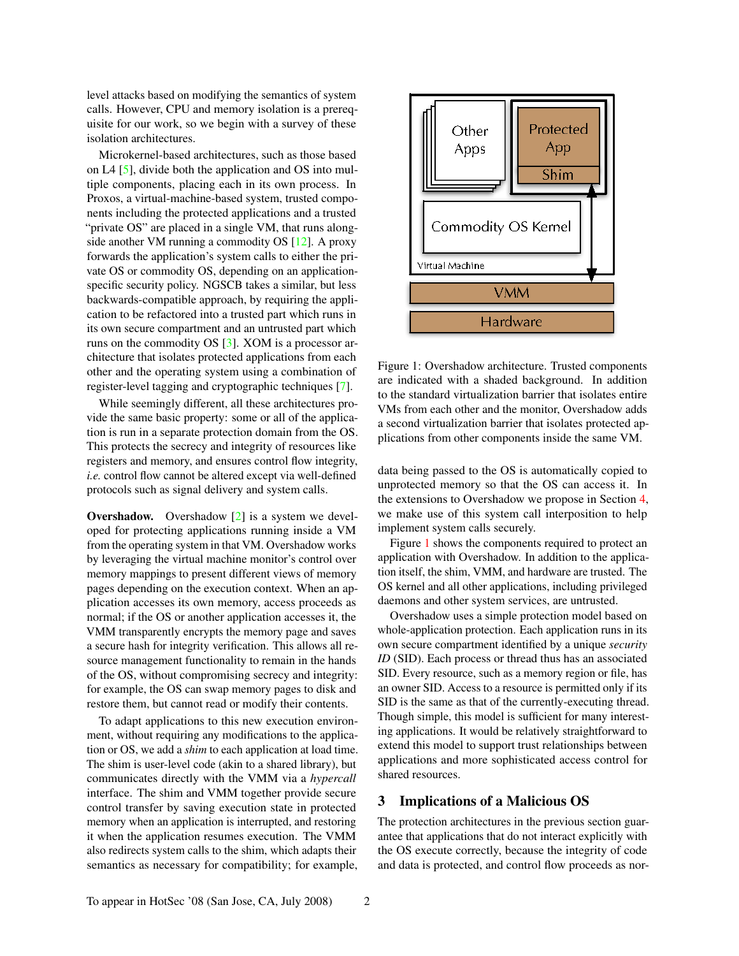level attacks based on modifying the semantics of system calls. However, CPU and memory isolation is a prerequisite for our work, so we begin with a survey of these isolation architectures.

Microkernel-based architectures, such as those based on L4 [[5](#page-6-5)], divide both the application and OS into multiple components, placing each in its own process. In Proxos, a virtual-machine-based system, trusted components including the protected applications and a trusted "private OS" are placed in a single VM, that runs alongside another VM running a commodity OS [[12](#page-6-2)]. A proxy forwards the application's system calls to either the private OS or commodity OS, depending on an applicationspecific security policy. NGSCB takes a similar, but less backwards-compatible approach, by requiring the application to be refactored into a trusted part which runs in its own secure compartment and an untrusted part which runs on the commodity OS [[3](#page-6-1)]. XOM is a processor architecture that isolates protected applications from each other and the operating system using a combination of register-level tagging and cryptographic techniques [\[7\]](#page-6-3).

While seemingly different, all these architectures provide the same basic property: some or all of the application is run in a separate protection domain from the OS. This protects the secrecy and integrity of resources like registers and memory, and ensures control flow integrity, *i.e.* control flow cannot be altered except via well-defined protocols such as signal delivery and system calls.

<span id="page-1-2"></span>Overshadow. Overshadow [[2](#page-6-4)] is a system we developed for protecting applications running inside a VM from the operating system in that VM. Overshadow works by leveraging the virtual machine monitor's control over memory mappings to present different views of memory pages depending on the execution context. When an application accesses its own memory, access proceeds as normal; if the OS or another application accesses it, the VMM transparently encrypts the memory page and saves a secure hash for integrity verification. This allows all resource management functionality to remain in the hands of the OS, without compromising secrecy and integrity: for example, the OS can swap memory pages to disk and restore them, but cannot read or modify their contents.

To adapt applications to this new execution environment, without requiring any modifications to the application or OS, we add a *shim* to each application at load time. The shim is user-level code (akin to a shared library), but communicates directly with the VMM via a *hypercall* interface. The shim and VMM together provide secure control transfer by saving execution state in protected memory when an application is interrupted, and restoring it when the application resumes execution. The VMM also redirects system calls to the shim, which adapts their semantics as necessary for compatibility; for example,



<span id="page-1-1"></span>Figure 1: Overshadow architecture. Trusted components are indicated with a shaded background. In addition to the standard virtualization barrier that isolates entire VMs from each other and the monitor, Overshadow adds a second virtualization barrier that isolates protected applications from other components inside the same VM.

data being passed to the OS is automatically copied to unprotected memory so that the OS can access it. In the extensions to Overshadow we propose in Section [4,](#page-2-0) we make use of this system call interposition to help implement system calls securely.

Figure [1](#page-1-1) shows the components required to protect an application with Overshadow. In addition to the application itself, the shim, VMM, and hardware are trusted. The OS kernel and all other applications, including privileged daemons and other system services, are untrusted.

Overshadow uses a simple protection model based on whole-application protection. Each application runs in its own secure compartment identified by a unique *security ID* (SID). Each process or thread thus has an associated SID. Every resource, such as a memory region or file, has an owner SID. Access to a resource is permitted only if its SID is the same as that of the currently-executing thread. Though simple, this model is sufficient for many interesting applications. It would be relatively straightforward to extend this model to support trust relationships between applications and more sophisticated access control for shared resources.

### <span id="page-1-0"></span>3 Implications of a Malicious OS

The protection architectures in the previous section guarantee that applications that do not interact explicitly with the OS execute correctly, because the integrity of code and data is protected, and control flow proceeds as nor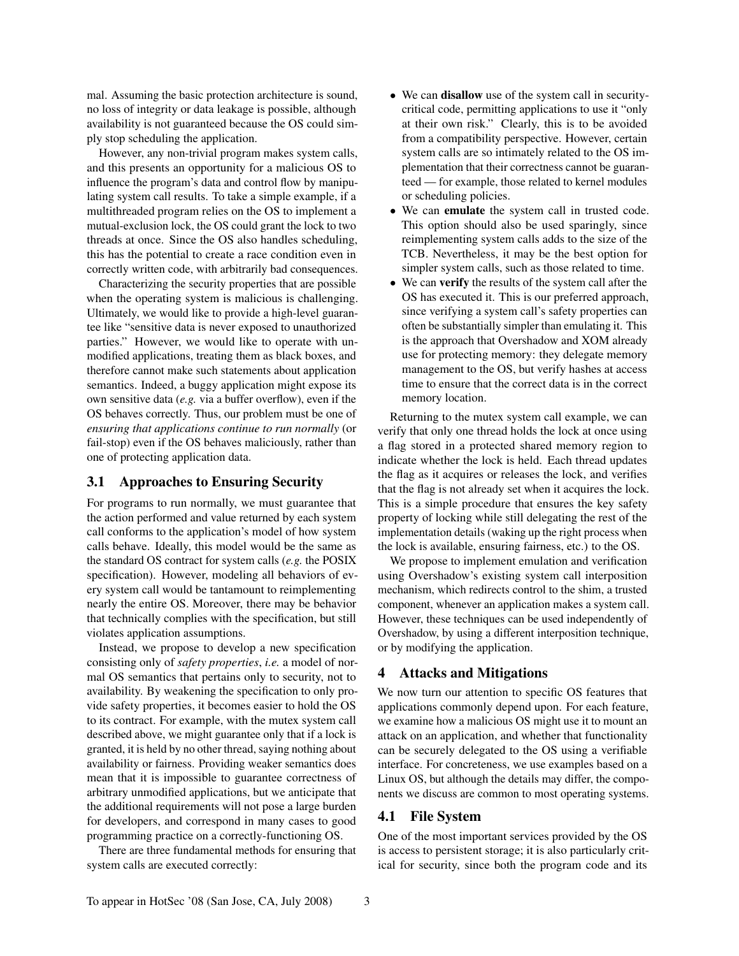mal. Assuming the basic protection architecture is sound, no loss of integrity or data leakage is possible, although availability is not guaranteed because the OS could simply stop scheduling the application.

However, any non-trivial program makes system calls, and this presents an opportunity for a malicious OS to influence the program's data and control flow by manipulating system call results. To take a simple example, if a multithreaded program relies on the OS to implement a mutual-exclusion lock, the OS could grant the lock to two threads at once. Since the OS also handles scheduling, this has the potential to create a race condition even in correctly written code, with arbitrarily bad consequences.

Characterizing the security properties that are possible when the operating system is malicious is challenging. Ultimately, we would like to provide a high-level guarantee like "sensitive data is never exposed to unauthorized parties." However, we would like to operate with unmodified applications, treating them as black boxes, and therefore cannot make such statements about application semantics. Indeed, a buggy application might expose its own sensitive data (*e.g.* via a buffer overflow), even if the OS behaves correctly. Thus, our problem must be one of *ensuring that applications continue to run normally* (or fail-stop) even if the OS behaves maliciously, rather than one of protecting application data.

## 3.1 Approaches to Ensuring Security

For programs to run normally, we must guarantee that the action performed and value returned by each system call conforms to the application's model of how system calls behave. Ideally, this model would be the same as the standard OS contract for system calls (*e.g.* the POSIX specification). However, modeling all behaviors of every system call would be tantamount to reimplementing nearly the entire OS. Moreover, there may be behavior that technically complies with the specification, but still violates application assumptions.

Instead, we propose to develop a new specification consisting only of *safety properties*, *i.e.* a model of normal OS semantics that pertains only to security, not to availability. By weakening the specification to only provide safety properties, it becomes easier to hold the OS to its contract. For example, with the mutex system call described above, we might guarantee only that if a lock is granted, it is held by no other thread, saying nothing about availability or fairness. Providing weaker semantics does mean that it is impossible to guarantee correctness of arbitrary unmodified applications, but we anticipate that the additional requirements will not pose a large burden for developers, and correspond in many cases to good programming practice on a correctly-functioning OS.

There are three fundamental methods for ensuring that system calls are executed correctly:

- We can **disallow** use of the system call in securitycritical code, permitting applications to use it "only at their own risk." Clearly, this is to be avoided from a compatibility perspective. However, certain system calls are so intimately related to the OS implementation that their correctness cannot be guaranteed — for example, those related to kernel modules or scheduling policies.
- We can emulate the system call in trusted code. This option should also be used sparingly, since reimplementing system calls adds to the size of the TCB. Nevertheless, it may be the best option for simpler system calls, such as those related to time.
- We can **verify** the results of the system call after the OS has executed it. This is our preferred approach, since verifying a system call's safety properties can often be substantially simpler than emulating it. This is the approach that Overshadow and XOM already use for protecting memory: they delegate memory management to the OS, but verify hashes at access time to ensure that the correct data is in the correct memory location.

Returning to the mutex system call example, we can verify that only one thread holds the lock at once using a flag stored in a protected shared memory region to indicate whether the lock is held. Each thread updates the flag as it acquires or releases the lock, and verifies that the flag is not already set when it acquires the lock. This is a simple procedure that ensures the key safety property of locking while still delegating the rest of the implementation details (waking up the right process when the lock is available, ensuring fairness, etc.) to the OS.

We propose to implement emulation and verification using Overshadow's existing system call interposition mechanism, which redirects control to the shim, a trusted component, whenever an application makes a system call. However, these techniques can be used independently of Overshadow, by using a different interposition technique, or by modifying the application.

## <span id="page-2-0"></span>4 Attacks and Mitigations

We now turn our attention to specific OS features that applications commonly depend upon. For each feature, we examine how a malicious OS might use it to mount an attack on an application, and whether that functionality can be securely delegated to the OS using a verifiable interface. For concreteness, we use examples based on a Linux OS, but although the details may differ, the components we discuss are common to most operating systems.

## 4.1 File System

One of the most important services provided by the OS is access to persistent storage; it is also particularly critical for security, since both the program code and its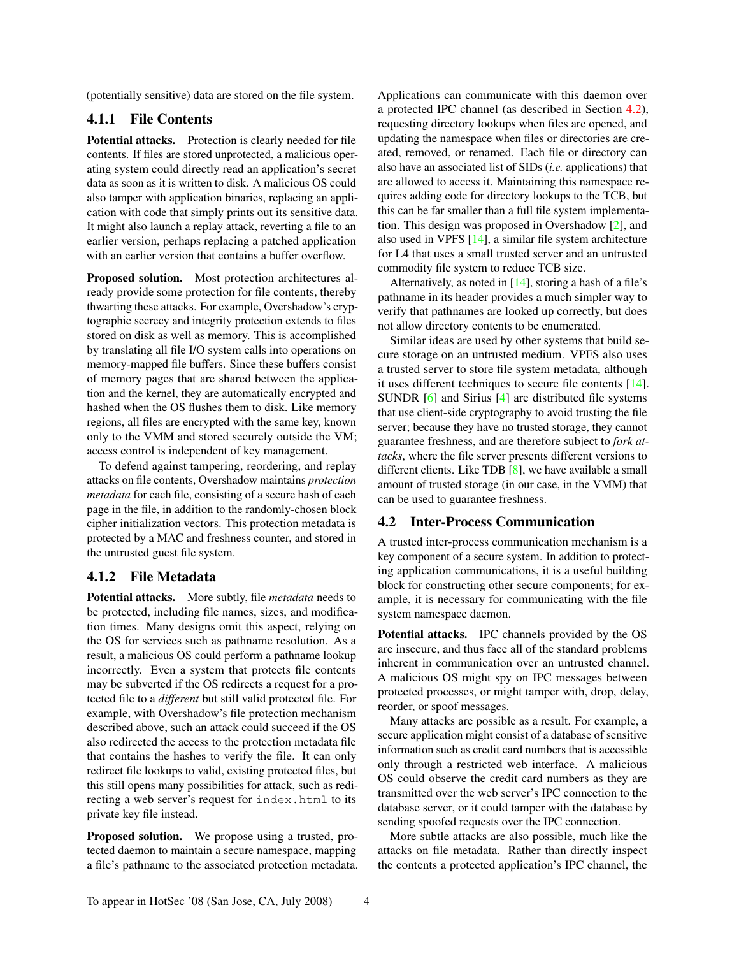(potentially sensitive) data are stored on the file system.

# 4.1.1 File Contents

Potential attacks. Protection is clearly needed for file contents. If files are stored unprotected, a malicious operating system could directly read an application's secret data as soon as it is written to disk. A malicious OS could also tamper with application binaries, replacing an application with code that simply prints out its sensitive data. It might also launch a replay attack, reverting a file to an earlier version, perhaps replacing a patched application with an earlier version that contains a buffer overflow.

Proposed solution. Most protection architectures already provide some protection for file contents, thereby thwarting these attacks. For example, Overshadow's cryptographic secrecy and integrity protection extends to files stored on disk as well as memory. This is accomplished by translating all file I/O system calls into operations on memory-mapped file buffers. Since these buffers consist of memory pages that are shared between the application and the kernel, they are automatically encrypted and hashed when the OS flushes them to disk. Like memory regions, all files are encrypted with the same key, known only to the VMM and stored securely outside the VM; access control is independent of key management.

To defend against tampering, reordering, and replay attacks on file contents, Overshadow maintains *protection metadata* for each file, consisting of a secure hash of each page in the file, in addition to the randomly-chosen block cipher initialization vectors. This protection metadata is protected by a MAC and freshness counter, and stored in the untrusted guest file system.

### <span id="page-3-1"></span>4.1.2 File Metadata

Potential attacks. More subtly, file *metadata* needs to be protected, including file names, sizes, and modification times. Many designs omit this aspect, relying on the OS for services such as pathname resolution. As a result, a malicious OS could perform a pathname lookup incorrectly. Even a system that protects file contents may be subverted if the OS redirects a request for a protected file to a *different* but still valid protected file. For example, with Overshadow's file protection mechanism described above, such an attack could succeed if the OS also redirected the access to the protection metadata file that contains the hashes to verify the file. It can only redirect file lookups to valid, existing protected files, but this still opens many possibilities for attack, such as redirecting a web server's request for index.html to its private key file instead.

<span id="page-3-2"></span>Proposed solution. We propose using a trusted, protected daemon to maintain a secure namespace, mapping a file's pathname to the associated protection metadata. Applications can communicate with this daemon over a protected IPC channel (as described in Section [4.2\)](#page-3-0), requesting directory lookups when files are opened, and updating the namespace when files or directories are created, removed, or renamed. Each file or directory can also have an associated list of SIDs (*i.e.* applications) that are allowed to access it. Maintaining this namespace requires adding code for directory lookups to the TCB, but this can be far smaller than a full file system implementation. This design was proposed in Overshadow [[2](#page-6-4)], and also used in VPFS [[14](#page-6-6)], a similar file system architecture for L4 that uses a small trusted server and an untrusted commodity file system to reduce TCB size.

Alternatively, as noted in  $[14]$  $[14]$  $[14]$ , storing a hash of a file's pathname in its header provides a much simpler way to verify that pathnames are looked up correctly, but does not allow directory contents to be enumerated.

Similar ideas are used by other systems that build secure storage on an untrusted medium. VPFS also uses a trusted server to store file system metadata, although it uses different techniques to secure file contents [[14](#page-6-6)]. SUNDR [[6](#page-6-7)] and Sirius [[4](#page-6-8)] are distributed file systems that use client-side cryptography to avoid trusting the file server; because they have no trusted storage, they cannot guarantee freshness, and are therefore subject to *fork attacks*, where the file server presents different versions to different clients. Like TDB [[8](#page-6-9)], we have available a small amount of trusted storage (in our case, in the VMM) that can be used to guarantee freshness.

#### <span id="page-3-0"></span>4.2 Inter-Process Communication

A trusted inter-process communication mechanism is a key component of a secure system. In addition to protecting application communications, it is a useful building block for constructing other secure components; for example, it is necessary for communicating with the file system namespace daemon.

Potential attacks. IPC channels provided by the OS are insecure, and thus face all of the standard problems inherent in communication over an untrusted channel. A malicious OS might spy on IPC messages between protected processes, or might tamper with, drop, delay, reorder, or spoof messages.

Many attacks are possible as a result. For example, a secure application might consist of a database of sensitive information such as credit card numbers that is accessible only through a restricted web interface. A malicious OS could observe the credit card numbers as they are transmitted over the web server's IPC connection to the database server, or it could tamper with the database by sending spoofed requests over the IPC connection.

More subtle attacks are also possible, much like the attacks on file metadata. Rather than directly inspect the contents a protected application's IPC channel, the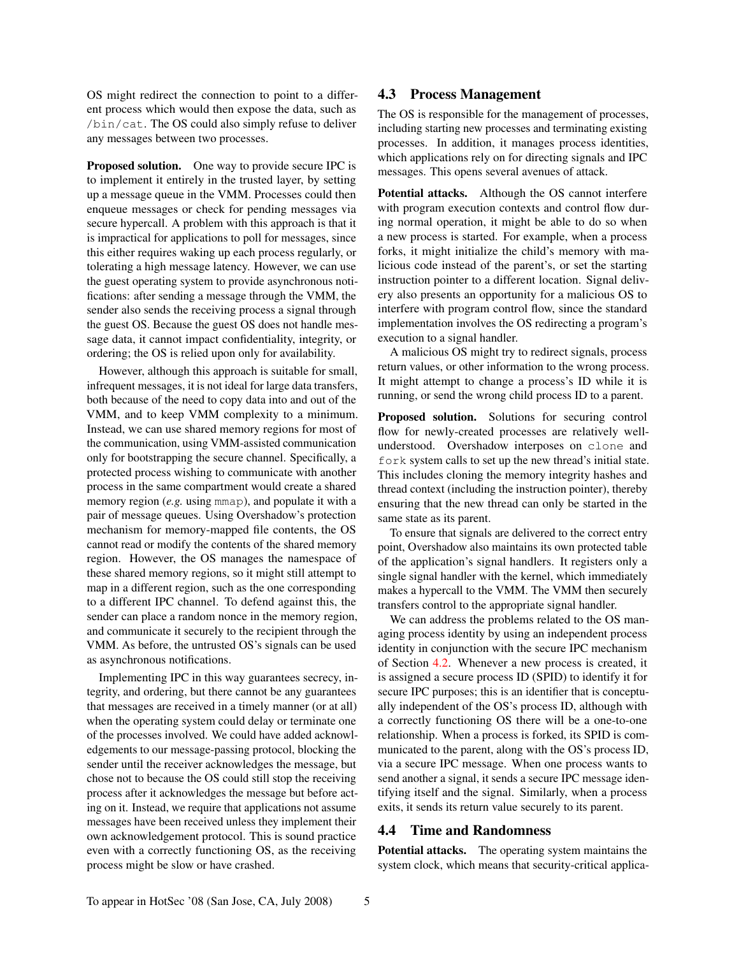OS might redirect the connection to point to a different process which would then expose the data, such as /bin/cat. The OS could also simply refuse to deliver any messages between two processes.

Proposed solution. One way to provide secure IPC is to implement it entirely in the trusted layer, by setting up a message queue in the VMM. Processes could then enqueue messages or check for pending messages via secure hypercall. A problem with this approach is that it is impractical for applications to poll for messages, since this either requires waking up each process regularly, or tolerating a high message latency. However, we can use the guest operating system to provide asynchronous notifications: after sending a message through the VMM, the sender also sends the receiving process a signal through the guest OS. Because the guest OS does not handle message data, it cannot impact confidentiality, integrity, or ordering; the OS is relied upon only for availability.

However, although this approach is suitable for small, infrequent messages, it is not ideal for large data transfers, both because of the need to copy data into and out of the VMM, and to keep VMM complexity to a minimum. Instead, we can use shared memory regions for most of the communication, using VMM-assisted communication only for bootstrapping the secure channel. Specifically, a protected process wishing to communicate with another process in the same compartment would create a shared memory region (*e.g.* using mmap), and populate it with a pair of message queues. Using Overshadow's protection mechanism for memory-mapped file contents, the OS cannot read or modify the contents of the shared memory region. However, the OS manages the namespace of these shared memory regions, so it might still attempt to map in a different region, such as the one corresponding to a different IPC channel. To defend against this, the sender can place a random nonce in the memory region, and communicate it securely to the recipient through the VMM. As before, the untrusted OS's signals can be used as asynchronous notifications.

Implementing IPC in this way guarantees secrecy, integrity, and ordering, but there cannot be any guarantees that messages are received in a timely manner (or at all) when the operating system could delay or terminate one of the processes involved. We could have added acknowledgements to our message-passing protocol, blocking the sender until the receiver acknowledges the message, but chose not to because the OS could still stop the receiving process after it acknowledges the message but before acting on it. Instead, we require that applications not assume messages have been received unless they implement their own acknowledgement protocol. This is sound practice even with a correctly functioning OS, as the receiving process might be slow or have crashed.

### 4.3 Process Management

The OS is responsible for the management of processes, including starting new processes and terminating existing processes. In addition, it manages process identities, which applications rely on for directing signals and IPC messages. This opens several avenues of attack.

Potential attacks. Although the OS cannot interfere with program execution contexts and control flow during normal operation, it might be able to do so when a new process is started. For example, when a process forks, it might initialize the child's memory with malicious code instead of the parent's, or set the starting instruction pointer to a different location. Signal delivery also presents an opportunity for a malicious OS to interfere with program control flow, since the standard implementation involves the OS redirecting a program's execution to a signal handler.

A malicious OS might try to redirect signals, process return values, or other information to the wrong process. It might attempt to change a process's ID while it is running, or send the wrong child process ID to a parent.

Proposed solution. Solutions for securing control flow for newly-created processes are relatively wellunderstood. Overshadow interposes on clone and fork system calls to set up the new thread's initial state. This includes cloning the memory integrity hashes and thread context (including the instruction pointer), thereby ensuring that the new thread can only be started in the same state as its parent.

To ensure that signals are delivered to the correct entry point, Overshadow also maintains its own protected table of the application's signal handlers. It registers only a single signal handler with the kernel, which immediately makes a hypercall to the VMM. The VMM then securely transfers control to the appropriate signal handler.

We can address the problems related to the OS managing process identity by using an independent process identity in conjunction with the secure IPC mechanism of Section [4.2.](#page-3-0) Whenever a new process is created, it is assigned a secure process ID (SPID) to identify it for secure IPC purposes; this is an identifier that is conceptually independent of the OS's process ID, although with a correctly functioning OS there will be a one-to-one relationship. When a process is forked, its SPID is communicated to the parent, along with the OS's process ID, via a secure IPC message. When one process wants to send another a signal, it sends a secure IPC message identifying itself and the signal. Similarly, when a process exits, it sends its return value securely to its parent.

## 4.4 Time and Randomness

<span id="page-4-0"></span>Potential attacks. The operating system maintains the system clock, which means that security-critical applica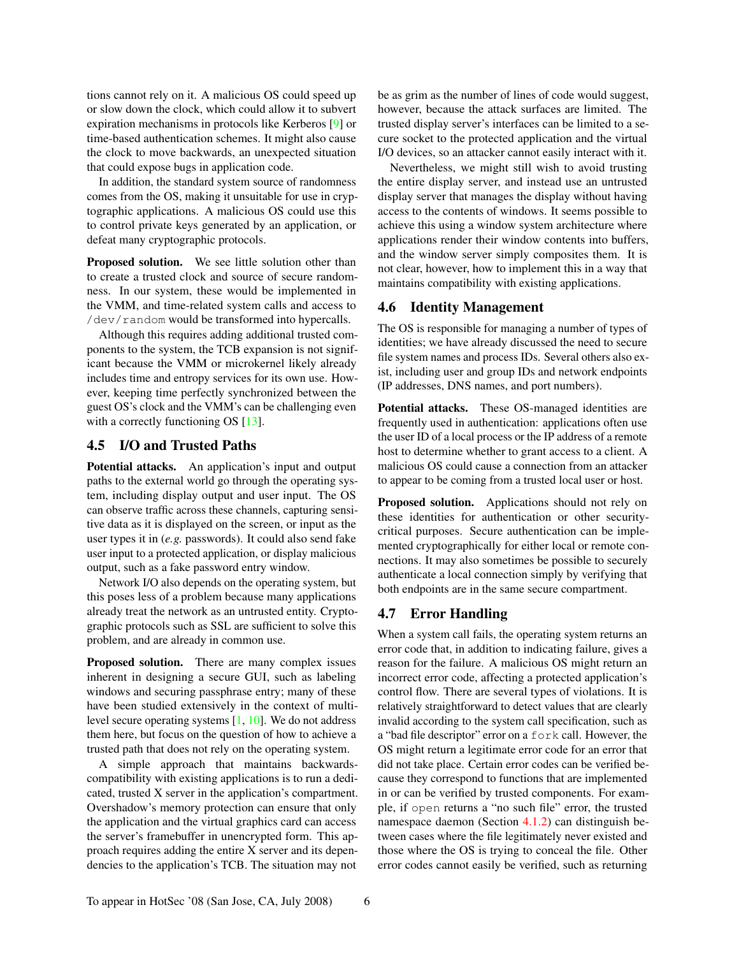tions cannot rely on it. A malicious OS could speed up or slow down the clock, which could allow it to subvert expiration mechanisms in protocols like Kerberos [[9](#page-6-10)] or time-based authentication schemes. It might also cause the clock to move backwards, an unexpected situation that could expose bugs in application code.

In addition, the standard system source of randomness comes from the OS, making it unsuitable for use in cryptographic applications. A malicious OS could use this to control private keys generated by an application, or defeat many cryptographic protocols.

<span id="page-5-1"></span>Proposed solution. We see little solution other than to create a trusted clock and source of secure randomness. In our system, these would be implemented in the VMM, and time-related system calls and access to /dev/random would be transformed into hypercalls.

Although this requires adding additional trusted components to the system, the TCB expansion is not significant because the VMM or microkernel likely already includes time and entropy services for its own use. However, keeping time perfectly synchronized between the guest OS's clock and the VMM's can be challenging even with a correctly functioning OS [\[13\]](#page-6-11).

## 4.5 I/O and Trusted Paths

Potential attacks. An application's input and output paths to the external world go through the operating system, including display output and user input. The OS can observe traffic across these channels, capturing sensitive data as it is displayed on the screen, or input as the user types it in (*e.g.* passwords). It could also send fake user input to a protected application, or display malicious output, such as a fake password entry window.

Network I/O also depends on the operating system, but this poses less of a problem because many applications already treat the network as an untrusted entity. Cryptographic protocols such as SSL are sufficient to solve this problem, and are already in common use.

<span id="page-5-0"></span>Proposed solution. There are many complex issues inherent in designing a secure GUI, such as labeling windows and securing passphrase entry; many of these have been studied extensively in the context of multilevel secure operating systems [[1](#page-6-12), [10](#page-6-13)]. We do not address them here, but focus on the question of how to achieve a trusted path that does not rely on the operating system.

A simple approach that maintains backwardscompatibility with existing applications is to run a dedicated, trusted X server in the application's compartment. Overshadow's memory protection can ensure that only the application and the virtual graphics card can access the server's framebuffer in unencrypted form. This approach requires adding the entire X server and its dependencies to the application's TCB. The situation may not

be as grim as the number of lines of code would suggest, however, because the attack surfaces are limited. The trusted display server's interfaces can be limited to a secure socket to the protected application and the virtual I/O devices, so an attacker cannot easily interact with it.

Nevertheless, we might still wish to avoid trusting the entire display server, and instead use an untrusted display server that manages the display without having access to the contents of windows. It seems possible to achieve this using a window system architecture where applications render their window contents into buffers, and the window server simply composites them. It is not clear, however, how to implement this in a way that maintains compatibility with existing applications.

#### 4.6 Identity Management

The OS is responsible for managing a number of types of identities; we have already discussed the need to secure file system names and process IDs. Several others also exist, including user and group IDs and network endpoints (IP addresses, DNS names, and port numbers).

Potential attacks. These OS-managed identities are frequently used in authentication: applications often use the user ID of a local process or the IP address of a remote host to determine whether to grant access to a client. A malicious OS could cause a connection from an attacker to appear to be coming from a trusted local user or host.

Proposed solution. Applications should not rely on these identities for authentication or other securitycritical purposes. Secure authentication can be implemented cryptographically for either local or remote connections. It may also sometimes be possible to securely authenticate a local connection simply by verifying that both endpoints are in the same secure compartment.

## 4.7 Error Handling

When a system call fails, the operating system returns an error code that, in addition to indicating failure, gives a reason for the failure. A malicious OS might return an incorrect error code, affecting a protected application's control flow. There are several types of violations. It is relatively straightforward to detect values that are clearly invalid according to the system call specification, such as a "bad file descriptor" error on a fork call. However, the OS might return a legitimate error code for an error that did not take place. Certain error codes can be verified because they correspond to functions that are implemented in or can be verified by trusted components. For example, if open returns a "no such file" error, the trusted namespace daemon (Section [4.1.2\)](#page-3-1) can distinguish between cases where the file legitimately never existed and those where the OS is trying to conceal the file. Other error codes cannot easily be verified, such as returning